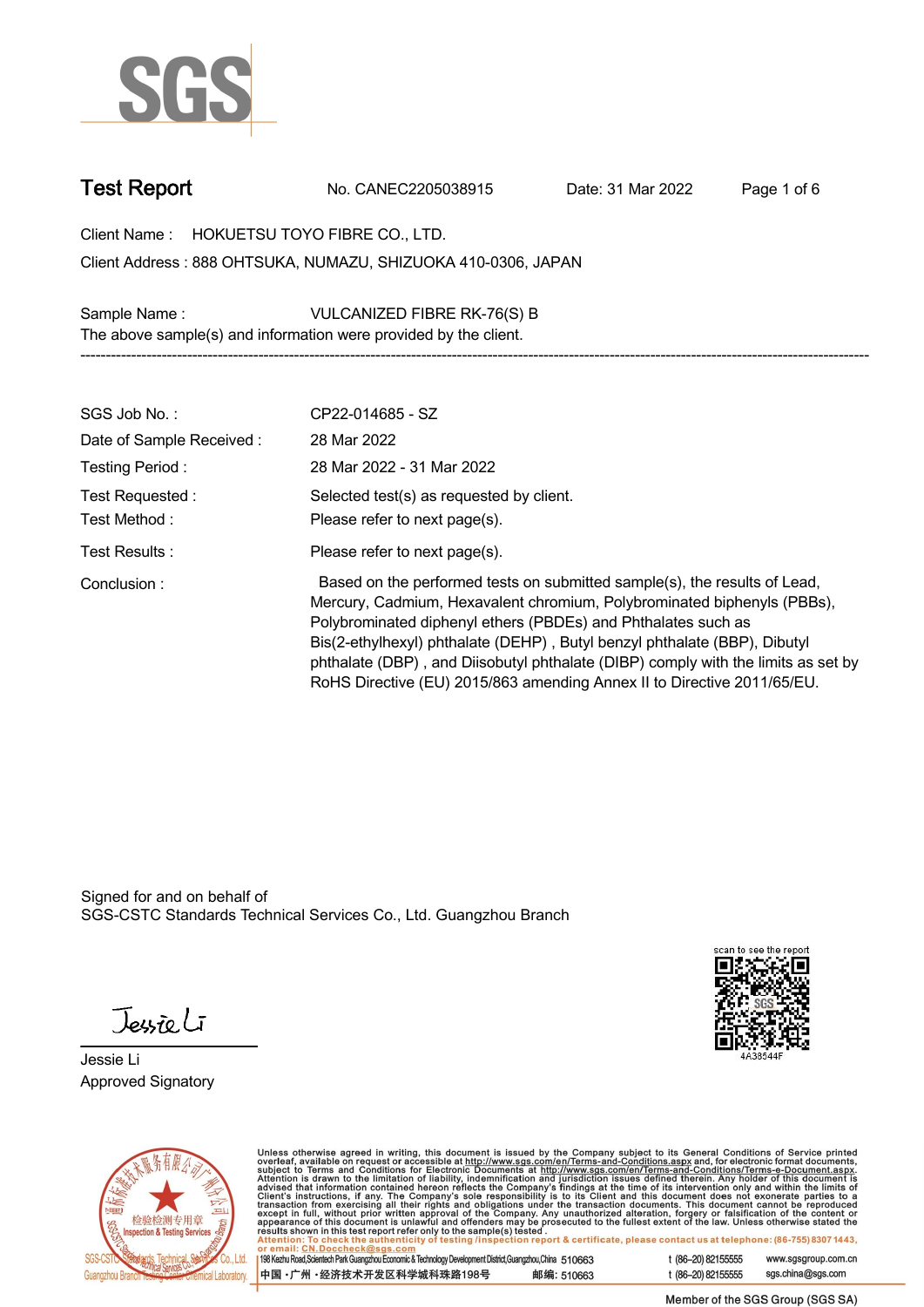

**Test Report. No. CANEC2205038915 . Date: 31 Mar 2022 . Page 1 of 6.**

**Client Name : HOKUETSU TOYO FIBRE CO., LTD. . 888 OHTSUKA, NUMAZU, SHIZUOKA 410-0306, JAPAN . Client Address :**

**Sample Name : VULCANIZED FIBRE RK-76(S) B . The above sample(s) and information were provided by the client.**

| SGS Job No.:                     | CP22-014685 - SZ                                                                                                                                                                                                                                                                                                                                                                                                                                                   |
|----------------------------------|--------------------------------------------------------------------------------------------------------------------------------------------------------------------------------------------------------------------------------------------------------------------------------------------------------------------------------------------------------------------------------------------------------------------------------------------------------------------|
| Date of Sample Received:         | 28 Mar 2022                                                                                                                                                                                                                                                                                                                                                                                                                                                        |
| Testing Period:                  | 28 Mar 2022 - 31 Mar 2022                                                                                                                                                                                                                                                                                                                                                                                                                                          |
| Test Requested :<br>Test Method: | Selected test(s) as requested by client.<br>Please refer to next page(s).                                                                                                                                                                                                                                                                                                                                                                                          |
| Test Results:                    | Please refer to next page(s).                                                                                                                                                                                                                                                                                                                                                                                                                                      |
| Conclusion:                      | Based on the performed tests on submitted sample(s), the results of Lead,<br>Mercury, Cadmium, Hexavalent chromium, Polybrominated biphenyls (PBBs),<br>Polybrominated diphenyl ethers (PBDEs) and Phthalates such as<br>Bis(2-ethylhexyl) phthalate (DEHP), Butyl benzyl phthalate (BBP), Dibutyl<br>phthalate (DBP), and Diisobutyl phthalate (DIBP) comply with the limits as set by<br>RoHS Directive (EU) 2015/863 amending Annex II to Directive 2011/65/EU. |

**-----------------------------------------------------------------------------------------------------------------------------------------------------------**

Signed for and on behalf of SGS-CSTC Standards Technical Services Co., Ltd. Guangzhou Branch.

Jessieli

**Jessie Li. Approved Signatory .**





Unless otherwise agreed in writing, this document is issued by the Company subject to its General Conditions of Service printed<br>overleaf, available on request or accessible at http://www.sgs.com/en/Terms-and-Conditions.as

| 198 Kezhu Road,Scientech Park Guangzhou Economic & Technology Development District,Guangzhou,China 510663 |            |
|-----------------------------------------------------------------------------------------------------------|------------|
| 中国 •广州 •经济技术开发区科学城科珠路198号                                                                                 | 邮编: 510663 |

t (86-20) 82155555 www.sgsgroup.com.cn sgs.china@sgs.com t (86-20) 82155555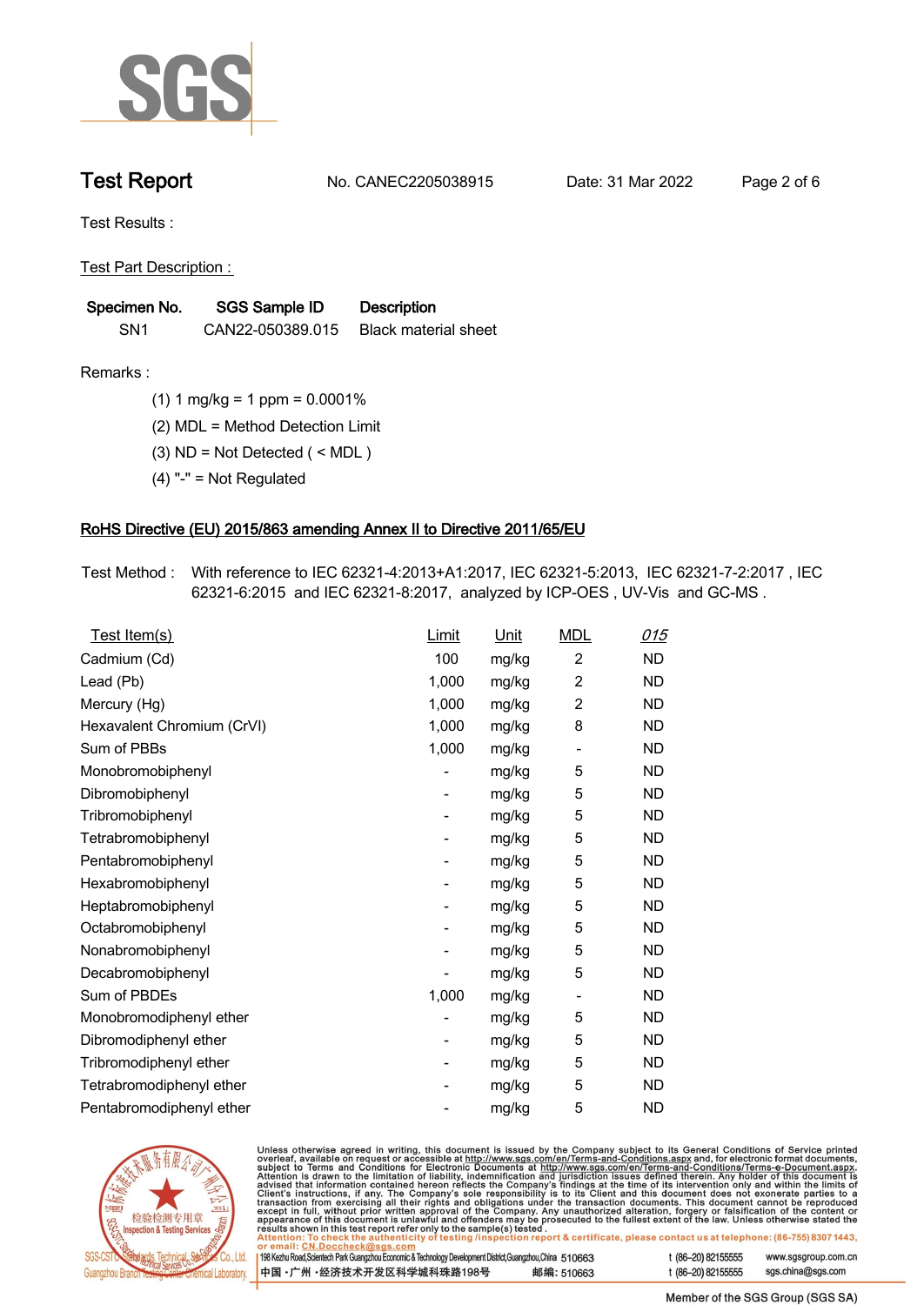

**Test Report. No. CANEC2205038915 . Date: 31 Mar 2022 . Page 2 of 6.**

**Test Results :.**

**Test Part Description : .**

| Specimen No.    | SGS Sample ID    | <b>Description</b>          |
|-----------------|------------------|-----------------------------|
| SN <sub>1</sub> | CAN22-050389.015 | <b>Black material sheet</b> |

- **Remarks :.(1) 1 mg/kg = 1 ppm = 0.0001% .**
	- **(2) MDL = Method Detection Limit .**
	- **(3) ND = Not Detected ( < MDL ) .**
	- **(4) "-" = Not Regulated .**

## **RoHS Directive (EU) 2015/863 amending Annex II to Directive 2011/65/EU.**

**Test Method :. With reference to IEC 62321-4:2013+A1:2017, IEC 62321-5:2013, IEC 62321-7-2:2017 , IEC 62321-6:2015 and IEC 62321-8:2017, analyzed by ICP-OES , UV-Vis and GC-MS . .**

| Test Item(s)               | <b>Limit</b>             | <u>Unit</u> | <b>MDL</b>                   | <u>015</u> |
|----------------------------|--------------------------|-------------|------------------------------|------------|
| Cadmium (Cd)               | 100                      | mg/kg       | $\overline{c}$               | <b>ND</b>  |
| Lead (Pb)                  | 1,000                    | mg/kg       | $\overline{2}$               | <b>ND</b>  |
| Mercury (Hg)               | 1,000                    | mg/kg       | $\overline{2}$               | <b>ND</b>  |
| Hexavalent Chromium (CrVI) | 1,000                    | mg/kg       | 8                            | <b>ND</b>  |
| Sum of PBBs                | 1,000                    | mg/kg       | $\overline{\phantom{0}}$     | <b>ND</b>  |
| Monobromobiphenyl          |                          | mg/kg       | 5                            | <b>ND</b>  |
| Dibromobiphenyl            | $\overline{\phantom{0}}$ | mg/kg       | 5                            | <b>ND</b>  |
| Tribromobiphenyl           | -                        | mg/kg       | 5                            | <b>ND</b>  |
| Tetrabromobiphenyl         |                          | mg/kg       | 5                            | <b>ND</b>  |
| Pentabromobiphenyl         | -                        | mg/kg       | 5                            | <b>ND</b>  |
| Hexabromobiphenyl          |                          | mg/kg       | 5                            | <b>ND</b>  |
| Heptabromobiphenyl         |                          | mg/kg       | 5                            | <b>ND</b>  |
| Octabromobiphenyl          | -                        | mg/kg       | 5                            | <b>ND</b>  |
| Nonabromobiphenyl          |                          | mg/kg       | 5                            | <b>ND</b>  |
| Decabromobiphenyl          |                          | mg/kg       | 5                            | <b>ND</b>  |
| Sum of PBDEs               | 1,000                    | mg/kg       | $\qquad \qquad \blacksquare$ | <b>ND</b>  |
| Monobromodiphenyl ether    |                          | mg/kg       | 5                            | <b>ND</b>  |
| Dibromodiphenyl ether      |                          | mg/kg       | 5                            | <b>ND</b>  |
| Tribromodiphenyl ether     | -                        | mg/kg       | 5                            | <b>ND</b>  |
| Tetrabromodiphenyl ether   |                          | mg/kg       | 5                            | <b>ND</b>  |
| Pentabromodiphenyl ether   |                          | mg/kg       | 5                            | <b>ND</b>  |



Unless otherwise agreed in writing, this document is issued by the Company subject to its General Conditions of Service printed overleaf, available on request or accessible at http://www.sgs.com/en/Terms-and-Conditions.as

| or email: CN.DOCCHECK@sgs.com                                                                              |            |                    |                     |
|------------------------------------------------------------------------------------------------------------|------------|--------------------|---------------------|
| 198 Kezhu Road,Scientech Park Guangzhou Economic & Technology Development District,Guangzhou,China 51 0663 |            | t (86-20) 82155555 | www.sgsgroup.com.cl |
| ┃中国 •广州 •经济技术开发区科学城科珠路198号 ↓                                                                               | 邮编: 510663 | t (86-20) 82155555 | sgs.china@sgs.com   |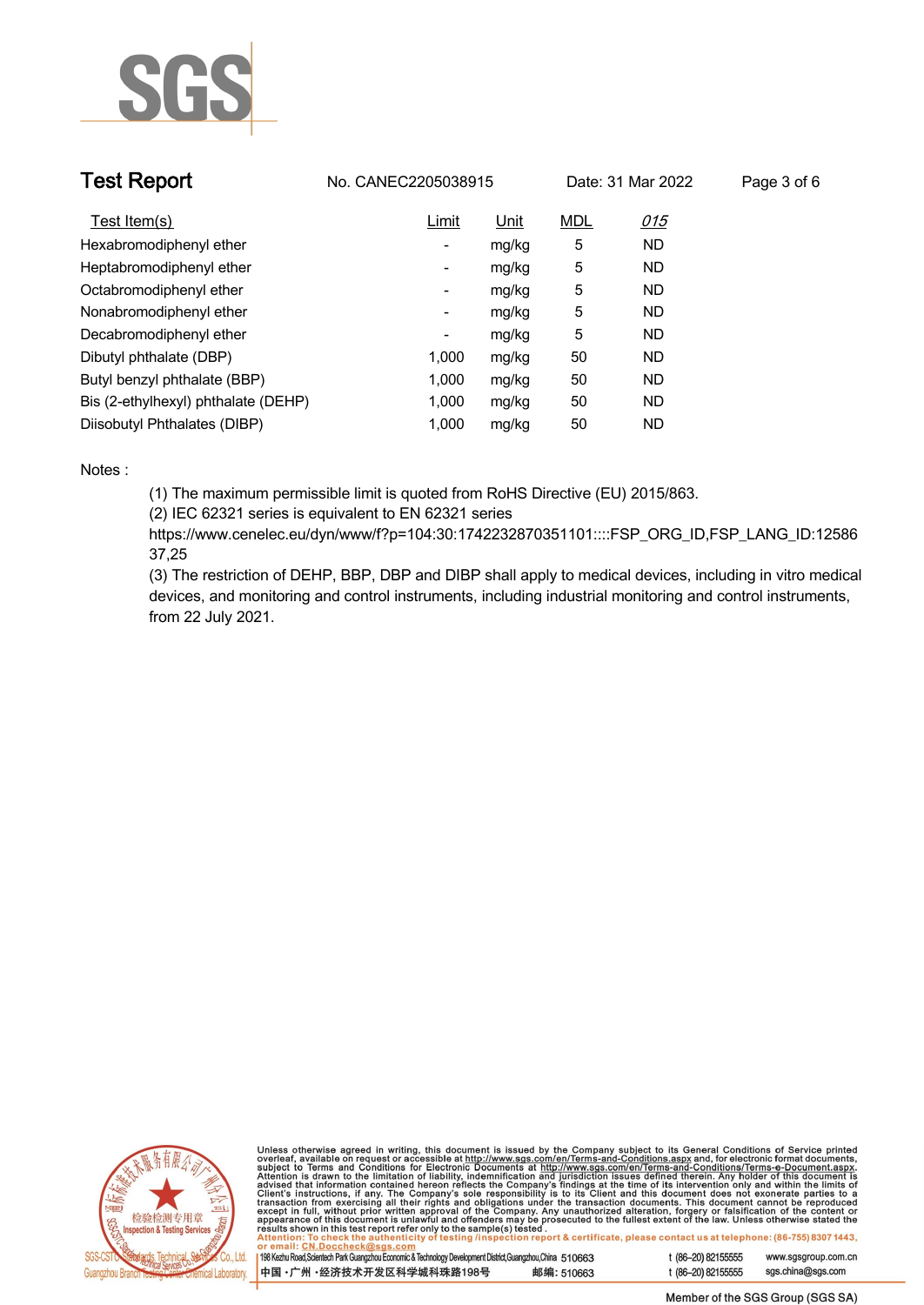

| <b>Test Report</b>                  | No. CANEC2205038915 |       |            | Date: 31 Mar 2022 | Page 3 of 6 |
|-------------------------------------|---------------------|-------|------------|-------------------|-------------|
| Test Item(s)                        | Limit               | Unit  | <b>MDL</b> | 015               |             |
| Hexabromodiphenyl ether             | ۰.                  | mg/kg | 5          | <b>ND</b>         |             |
| Heptabromodiphenyl ether            | Ξ.                  | mg/kg | 5          | <b>ND</b>         |             |
| Octabromodiphenyl ether             | Ξ.                  | mg/kg | 5          | <b>ND</b>         |             |
| Nonabromodiphenyl ether             | -                   | mg/kg | 5          | <b>ND</b>         |             |
| Decabromodiphenyl ether             | -                   | mg/kg | 5          | ND                |             |
| Dibutyl phthalate (DBP)             | 1.000               | mg/kg | 50         | <b>ND</b>         |             |
| Butyl benzyl phthalate (BBP)        | 1.000               | mg/kg | 50         | <b>ND</b>         |             |
| Bis (2-ethylhexyl) phthalate (DEHP) | 1.000               | mg/kg | 50         | <b>ND</b>         |             |
| Diisobutyl Phthalates (DIBP)        | 1.000               | mg/kg | 50         | <b>ND</b>         |             |

### **Notes :.**

**(1) The maximum permissible limit is quoted from RoHS Directive (EU) 2015/863.**

**(2) IEC 62321 series is equivalent to EN 62321 series**

**https://www.cenelec.eu/dyn/www/f?p=104:30:1742232870351101::::FSP\_ORG\_ID,FSP\_LANG\_ID:12586 37,25**

**(3) The restriction of DEHP, BBP, DBP and DIBP shall apply to medical devices, including in vitro medical devices, and monitoring and control instruments, including industrial monitoring and control instruments, from 22 July 2021..**



Unless otherwise agreed in writing, this document is issued by the Company subject to its General Conditions of Service printed<br>overleaf, available on request or accessible at http://www.sgs.com/en/Terms-and-Conditions.as

| 198 Kezhu Road,Scientech Park Guangzhou Economic & Technology Development District,Guangzhou,China 510663 |            |  |
|-----------------------------------------------------------------------------------------------------------|------------|--|
| 中国 •广州 •经济技术开发区科学城科珠路198号                                                                                 | 邮编: 510663 |  |

www.sgsgroup.com.cn

t (86-20) 82155555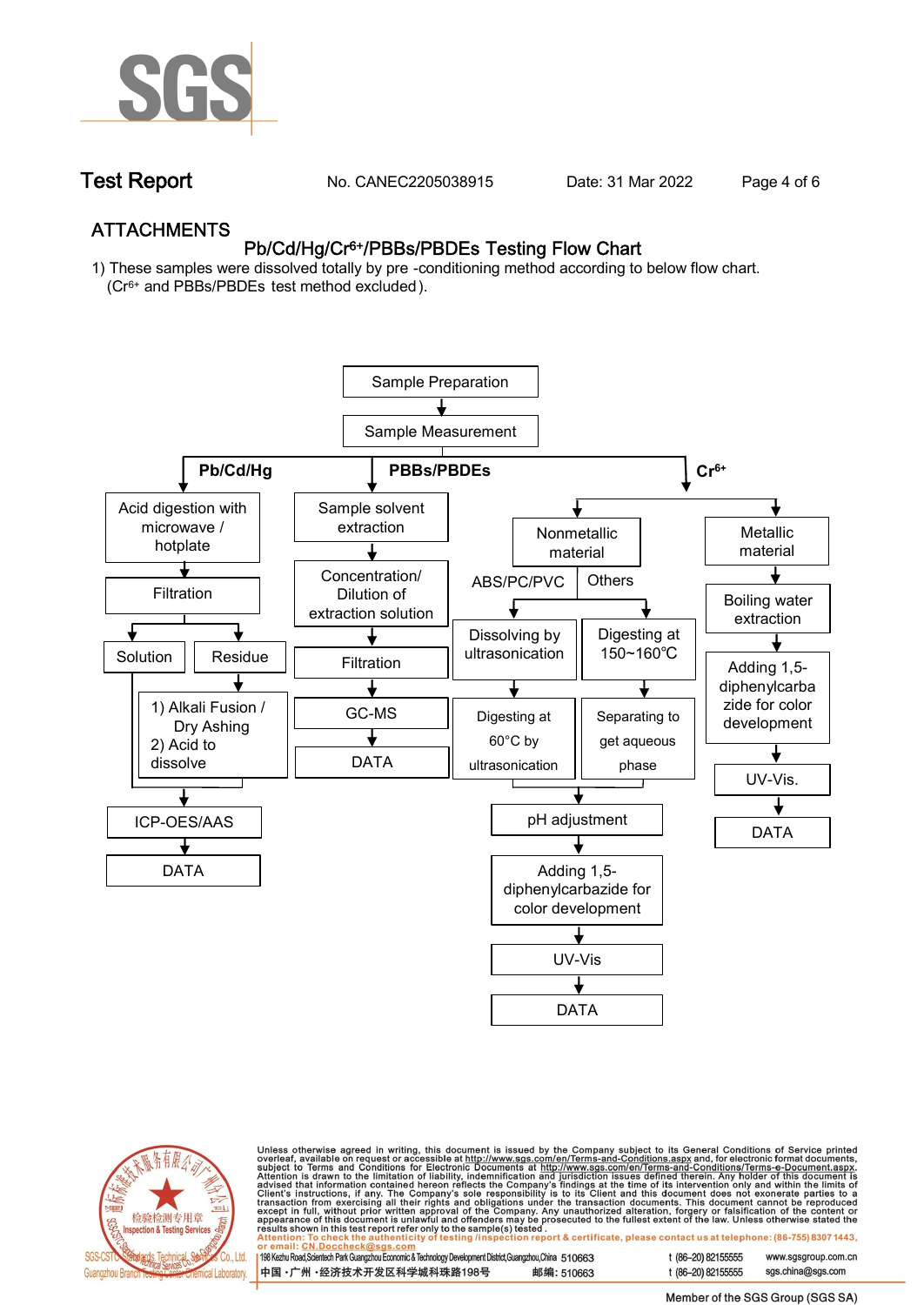

**Test Report. No. CANEC2205038915 . Date: 31 Mar 2022 . Page 4 of 6.**

## **ATTACHMENTS Pb/Cd/Hg/Cr6+/PBBs/PBDEs Testing Flow Chart**

**1) These samples were dissolved totally by pre -conditioning method according to below flow chart. (Cr6+ and PBBs/PBDEs test method excluded ).**





Unless otherwise agreed in writing, this document is issued by the Company subject to its General Conditions of Service printed<br>overleaf, available on request or accessible at http://www.sgs.com/en/Terms-and-Conditions.as

| 198 Kezhu Road,Scientech Park Guangzhou Economic & Technology Development District,Guangzhou,China 510663 |            |
|-----------------------------------------------------------------------------------------------------------|------------|
| 中国 •广州 •经济技术开发区科学城科珠路198号                                                                                 | 邮编: 510663 |

t (86-20) 82155555 www.sgsgroup.com.cn t (86-20) 82155555 sas.china@sas.com

Member of the SGS Group (SGS SA)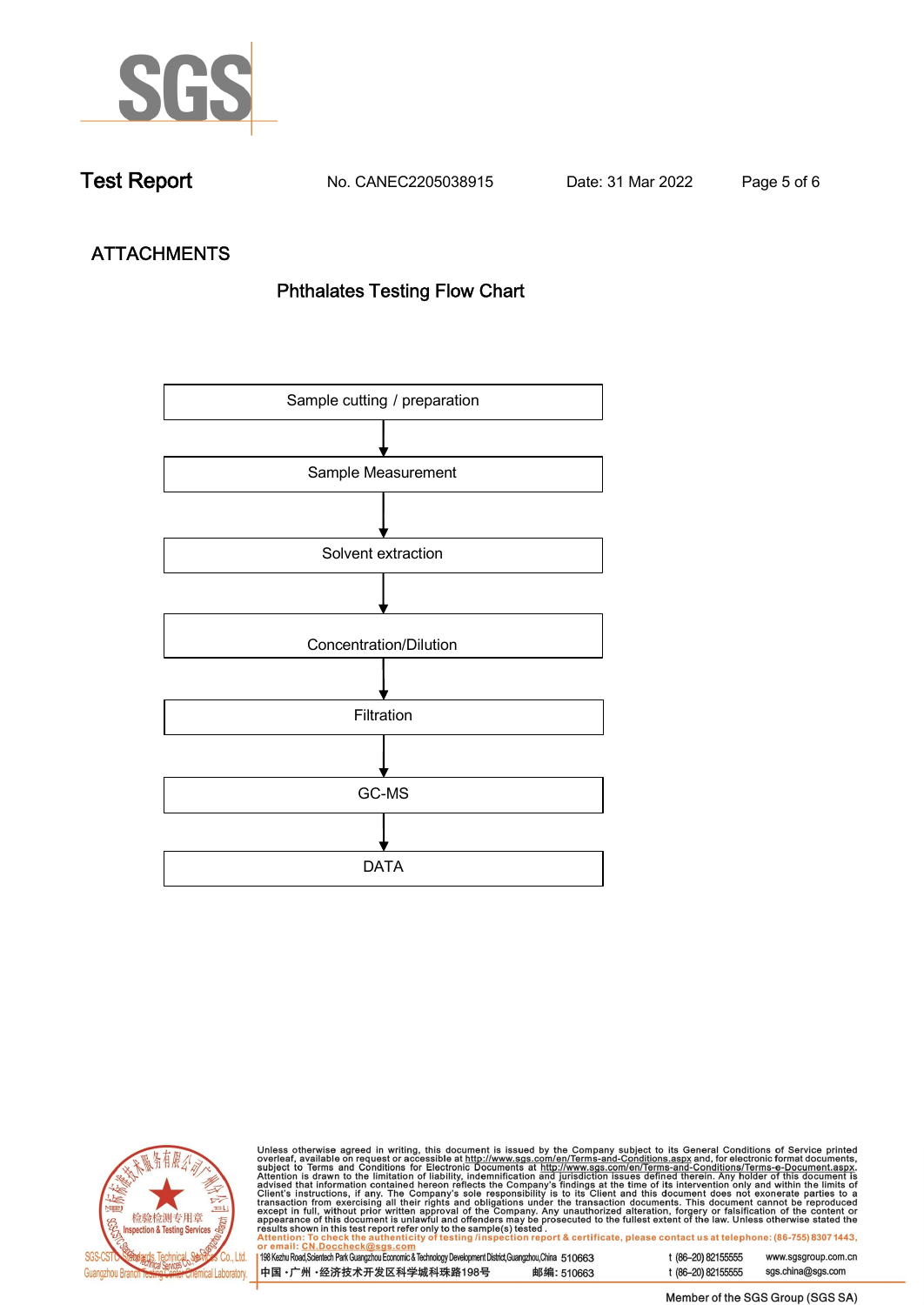

**Test Report. No. CANEC2205038915 . Date: 31 Mar 2022 . Page 5 of 6.**

# **ATTACHMENTS Phthalates Testing Flow Chart**





Unless otherwise agreed in writing, this document is issued by the Company subject to its General Conditions of Service printed overleaf, available on request or accessible at http://www.sgs.com/en/Terms-and-Conditions.as

| or email: CN.Doccheck@sus.com                                                                                |            |  |
|--------------------------------------------------------------------------------------------------------------|------------|--|
|                                                                                                              |            |  |
| 198 Kezhu Road, Scientech Park Guangzhou Economic & Technology Development District, Guangzhou, China 510663 |            |  |
|                                                                                                              |            |  |
| ┃中国 •广州 •经济技术开发区科学城科珠路198号 ↓                                                                                 | 邮编: 510663 |  |
|                                                                                                              |            |  |

t (86-20) 82155555 www.sgsgroup.com.cn t (86-20) 82155555 sgs.china@sgs.com